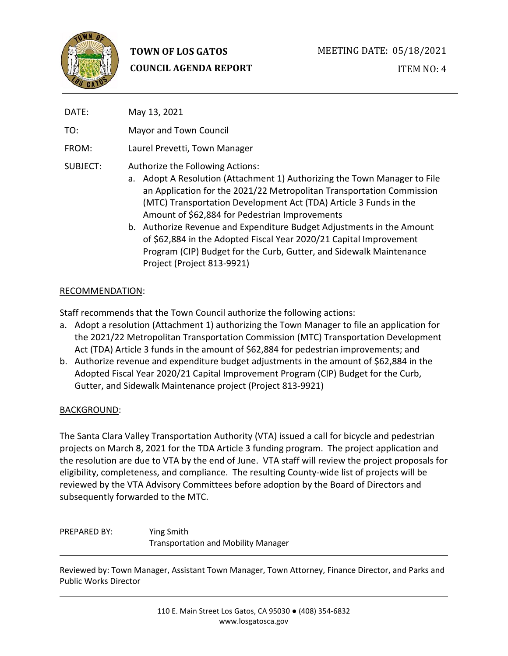

# **TOWN OF LOS GATOS COUNCIL AGENDA REPORT**

# ITEM NO: 4

| DATE:    | May 13, 2021                                                                                                                                                                                                                                                                                                                                                                           |
|----------|----------------------------------------------------------------------------------------------------------------------------------------------------------------------------------------------------------------------------------------------------------------------------------------------------------------------------------------------------------------------------------------|
| TO:      | Mayor and Town Council                                                                                                                                                                                                                                                                                                                                                                 |
| FROM:    | Laurel Prevetti, Town Manager                                                                                                                                                                                                                                                                                                                                                          |
| SUBJECT: | Authorize the Following Actions:<br>a. Adopt A Resolution (Attachment 1) Authorizing the Town Manager to File<br>an Application for the 2021/22 Metropolitan Transportation Commission<br>(MTC) Transportation Development Act (TDA) Article 3 Funds in the<br>Amount of \$62,884 for Pedestrian Improvements<br>b. Authorize Revenue and Expenditure Budget Adjustments in the Amount |

of \$62,884 in the Adopted Fiscal Year 2020/21 Capital Improvement Program (CIP) Budget for the Curb, Gutter, and Sidewalk Maintenance Project (Project 813-9921)

#### RECOMMENDATION:

Staff recommends that the Town Council authorize the following actions:

- a. Adopt a resolution (Attachment 1) authorizing the Town Manager to file an application for the 2021/22 Metropolitan Transportation Commission (MTC) Transportation Development Act (TDA) Article 3 funds in the amount of \$62,884 for pedestrian improvements; and
- b. Authorize revenue and expenditure budget adjustments in the amount of \$62,884 in the Adopted Fiscal Year 2020/21 Capital Improvement Program (CIP) Budget for the Curb, Gutter, and Sidewalk Maintenance project (Project 813-9921)

#### BACKGROUND:

The Santa Clara Valley Transportation Authority (VTA) issued a call for bicycle and pedestrian projects on March 8, 2021 for the TDA Article 3 funding program. The project application and the resolution are due to VTA by the end of June. VTA staff will review the project proposals for eligibility, completeness, and compliance. The resulting County-wide list of projects will be reviewed by the VTA Advisory Committees before adoption by the Board of Directors and subsequently forwarded to the MTC.

## PREPARED BY: Ying Smith Transportation and Mobility Manager

Reviewed by: Town Manager, Assistant Town Manager, Town Attorney, Finance Director, and Parks and Public Works Director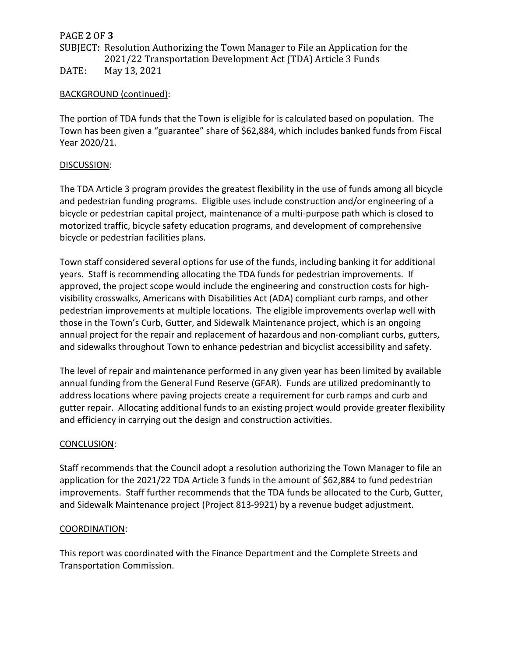## PAGE **2** OF **3**

# SUBJECT: Resolution Authorizing the Town Manager to File an Application for the 2021/22 Transportation Development Act (TDA) Article 3 Funds DATE: May 13, 2021

## BACKGROUND (continued):

The portion of TDA funds that the Town is eligible for is calculated based on population. The Town has been given a "guarantee" share of \$62,884, which includes banked funds from Fiscal Year 2020/21.

## DISCUSSION:

The TDA Article 3 program provides the greatest flexibility in the use of funds among all bicycle and pedestrian funding programs. Eligible uses include construction and/or engineering of a bicycle or pedestrian capital project, maintenance of a multi-purpose path which is closed to motorized traffic, bicycle safety education programs, and development of comprehensive bicycle or pedestrian facilities plans.

Town staff considered several options for use of the funds, including banking it for additional years. Staff is recommending allocating the TDA funds for pedestrian improvements. If approved, the project scope would include the engineering and construction costs for highvisibility crosswalks, Americans with Disabilities Act (ADA) compliant curb ramps, and other pedestrian improvements at multiple locations. The eligible improvements overlap well with those in the Town's Curb, Gutter, and Sidewalk Maintenance project, which is an ongoing annual project for the repair and replacement of hazardous and non-compliant curbs, gutters, and sidewalks throughout Town to enhance pedestrian and bicyclist accessibility and safety.

The level of repair and maintenance performed in any given year has been limited by available annual funding from the General Fund Reserve (GFAR). Funds are utilized predominantly to address locations where paving projects create a requirement for curb ramps and curb and gutter repair. Allocating additional funds to an existing project would provide greater flexibility and efficiency in carrying out the design and construction activities.

## CONCLUSION:

Staff recommends that the Council adopt a resolution authorizing the Town Manager to file an application for the 2021/22 TDA Article 3 funds in the amount of \$62,884 to fund pedestrian improvements. Staff further recommends that the TDA funds be allocated to the Curb, Gutter, and Sidewalk Maintenance project (Project 813-9921) by a revenue budget adjustment.

## COORDINATION:

This report was coordinated with the Finance Department and the Complete Streets and Transportation Commission.